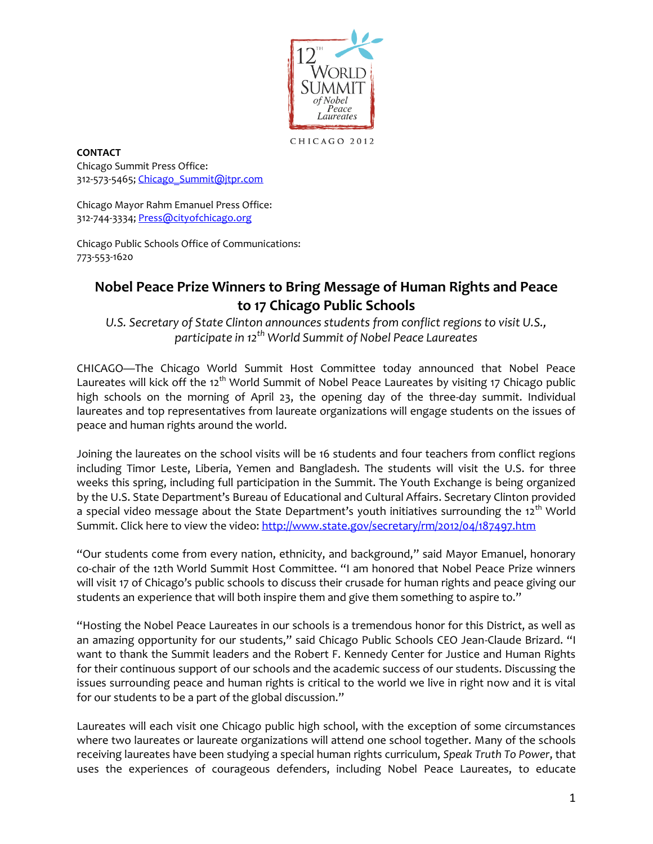

CHICAGO 2012

**CONTACT** Chicago Summit Press Office: 312-573-5465; [Chicago\\_Summit@jtpr.com](mailto:Chicago_Summit@jtpr.com)

Chicago Mayor Rahm Emanuel Press Office: 312-744-3334; [Press@cityofchicago.org](mailto:press@cityofchicago.org)

Chicago Public Schools Office of Communications: 773-553-1620

## **Nobel Peace Prize Winners to Bring Message of Human Rights and Peace to 17 Chicago Public Schools**

*U.S. Secretary of State Clinton announces students from conflict regions to visit U.S., participate in 12th World Summit of Nobel Peace Laureates*

CHICAGO—The Chicago World Summit Host Committee today announced that Nobel Peace Laureates will kick off the 12<sup>th</sup> World Summit of Nobel Peace Laureates by visiting 17 Chicago public high schools on the morning of April 23, the opening day of the three-day summit. Individual laureates and top representatives from laureate organizations will engage students on the issues of peace and human rights around the world.

Joining the laureates on the school visits will be 16 students and four teachers from conflict regions including Timor Leste, Liberia, Yemen and Bangladesh. The students will visit the U.S. for three weeks this spring, including full participation in the Summit. The Youth Exchange is being organized by the U.S. State Department's Bureau of Educational and Cultural Affairs. Secretary Clinton provided a special video message about the State Department's youth initiatives surrounding the 12<sup>th</sup> World Summit. Click here to view the video[: http://www.state.gov/secretary/rm/2012/04/187497.htm](http://www.state.gov/secretary/rm/2012/04/187497.htm)

"Our students come from every nation, ethnicity, and background," said Mayor Emanuel, honorary co-chair of the 12th World Summit Host Committee. "I am honored that Nobel Peace Prize winners will visit 17 of Chicago's public schools to discuss their crusade for human rights and peace giving our students an experience that will both inspire them and give them something to aspire to."

"Hosting the Nobel Peace Laureates in our schools is a tremendous honor for this District, as well as an amazing opportunity for our students," said Chicago Public Schools CEO Jean-Claude Brizard. "I want to thank the Summit leaders and the Robert F. Kennedy Center for Justice and Human Rights for their continuous support of our schools and the academic success of our students. Discussing the issues surrounding peace and human rights is critical to the world we live in right now and it is vital for our students to be a part of the global discussion."

Laureates will each visit one Chicago public high school, with the exception of some circumstances where two laureates or laureate organizations will attend one school together. Many of the schools receiving laureates have been studying a special human rights curriculum, *Speak Truth To Power*, that uses the experiences of courageous defenders, including Nobel Peace Laureates, to educate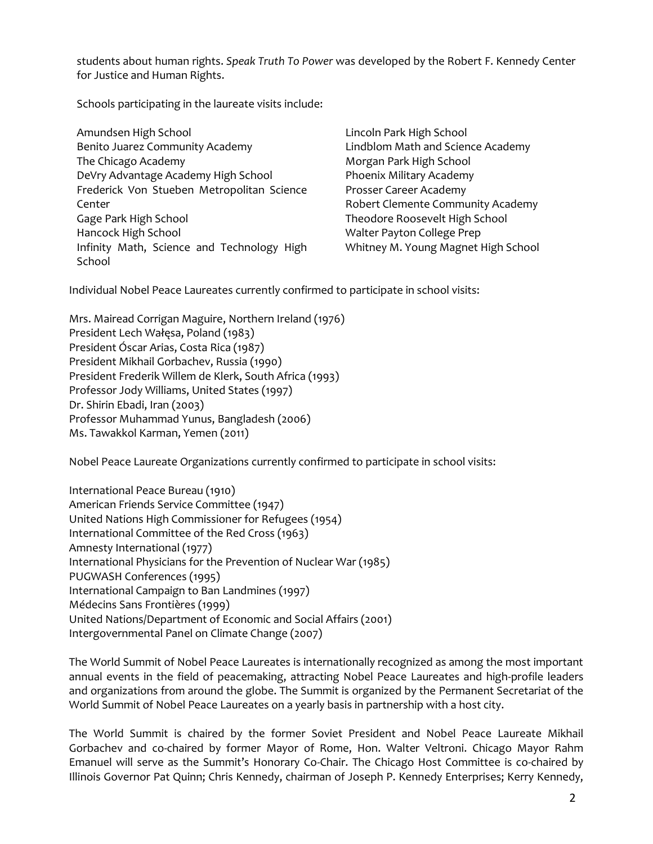students about human rights. *Speak Truth To Power* was developed by the Robert F. Kennedy Center for Justice and Human Rights.

Schools participating in the laureate visits include:

| Amundsen High School                       | Lincoln Park High School            |
|--------------------------------------------|-------------------------------------|
| Benito Juarez Community Academy            | Lindblom Math and Science Academy   |
| The Chicago Academy                        | Morgan Park High School             |
| DeVry Advantage Academy High School        | Phoenix Military Academy            |
| Frederick Von Stueben Metropolitan Science | Prosser Career Academy              |
| Center                                     | Robert Clemente Community Academy   |
| Gage Park High School                      | Theodore Roosevelt High School      |
| Hancock High School                        | Walter Payton College Prep          |
| Infinity Math, Science and Technology High | Whitney M. Young Magnet High School |
| School                                     |                                     |

Individual Nobel Peace Laureates currently confirmed to participate in school visits:

Mrs. Mairead Corrigan Maguire, Northern Ireland (1976) President Lech Wałęsa, Poland (1983) President Óscar Arias, Costa Rica (1987) President Mikhail Gorbachev, Russia (1990) President Frederik Willem de Klerk, South Africa (1993) Professor Jody Williams, United States (1997) Dr. Shirin Ebadi, Iran (2003) Professor Muhammad Yunus, Bangladesh (2006) Ms. Tawakkol Karman, Yemen (2011)

Nobel Peace Laureate Organizations currently confirmed to participate in school visits:

| International Peace Bureau (1910)                                 |
|-------------------------------------------------------------------|
| American Friends Service Committee (1947)                         |
| United Nations High Commissioner for Refugees (1954)              |
| International Committee of the Red Cross (1963)                   |
| Amnesty International (1977)                                      |
| International Physicians for the Prevention of Nuclear War (1985) |
| PUGWASH Conferences (1995)                                        |
| International Campaign to Ban Landmines (1997)                    |
| Médecins Sans Frontières (1999)                                   |
| United Nations/Department of Economic and Social Affairs (2001)   |
| Intergovernmental Panel on Climate Change (2007)                  |

The World Summit of Nobel Peace Laureates is internationally recognized as among the most important annual events in the field of peacemaking, attracting Nobel Peace Laureates and high-profile leaders and organizations from around the globe. The Summit is organized by the Permanent Secretariat of the World Summit of Nobel Peace Laureates on a yearly basis in partnership with a host city.

The World Summit is chaired by the former Soviet President and Nobel Peace Laureate Mikhail Gorbachev and co-chaired by former Mayor of Rome, Hon. Walter Veltroni. Chicago Mayor Rahm Emanuel will serve as the Summit's Honorary Co-Chair. The Chicago Host Committee is co-chaired by Illinois Governor Pat Quinn; Chris Kennedy, chairman of Joseph P. Kennedy Enterprises; Kerry Kennedy,